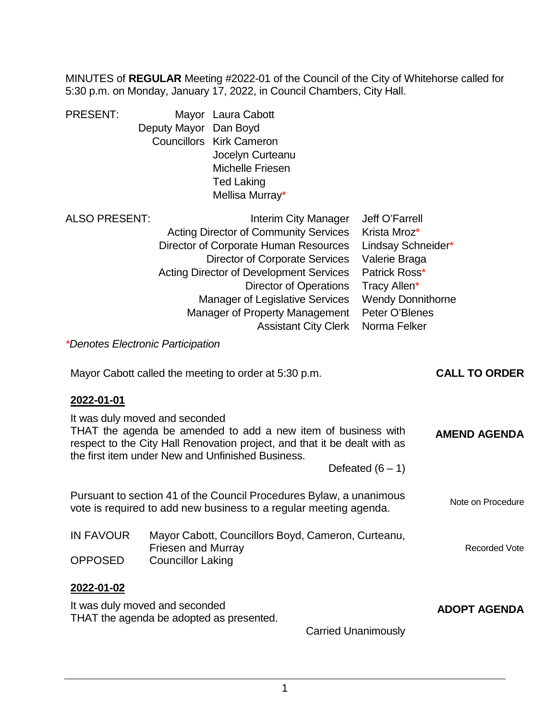MINUTES of **REGULAR** Meeting #2022-01 of the Council of the City of Whitehorse called for 5:30 p.m. on Monday, January 17, 2022, in Council Chambers, City Hall.

| <b>PRESENT:</b> |                       | Mayor Laura Cabott              |  |
|-----------------|-----------------------|---------------------------------|--|
|                 | Deputy Mayor Dan Boyd |                                 |  |
|                 |                       | <b>Councillors Kirk Cameron</b> |  |
|                 |                       | Jocelyn Curteanu                |  |
|                 |                       | Michelle Friesen                |  |
|                 |                       | <b>Ted Laking</b>               |  |
|                 |                       | Mellisa Murray*                 |  |
|                 |                       |                                 |  |

| <b>ALSO PRESENT:</b>              | Interim City Manager<br><b>Acting Director of Community Services</b><br>Director of Corporate Human Resources<br><b>Director of Corporate Services</b><br><b>Acting Director of Development Services</b><br><b>Director of Operations</b><br><b>Manager of Legislative Services</b> | Jeff O'Farrell<br>Krista Mroz*<br>Lindsay Schneider*<br>Valerie Braga<br>Patrick Ross*<br>Tracy Allen*<br><b>Wendy Donnithorne</b> |                      |
|-----------------------------------|-------------------------------------------------------------------------------------------------------------------------------------------------------------------------------------------------------------------------------------------------------------------------------------|------------------------------------------------------------------------------------------------------------------------------------|----------------------|
|                                   | Manager of Property Management<br><b>Assistant City Clerk</b>                                                                                                                                                                                                                       | Peter O'Blenes<br>Norma Felker                                                                                                     |                      |
| *Denotes Electronic Participation |                                                                                                                                                                                                                                                                                     |                                                                                                                                    |                      |
|                                   | Mayor Cabott called the meeting to order at 5:30 p.m.                                                                                                                                                                                                                               |                                                                                                                                    | <b>CALL TO ORDER</b> |
| 2022-01-01                        |                                                                                                                                                                                                                                                                                     |                                                                                                                                    |                      |
|                                   | It was duly moved and seconded<br>THAT the agenda be amended to add a new item of business with<br>respect to the City Hall Renovation project, and that it be dealt with as<br>the first item under New and Unfinished Business.                                                   |                                                                                                                                    | <b>AMEND AGENDA</b>  |
|                                   |                                                                                                                                                                                                                                                                                     | Defeated $(6 - 1)$                                                                                                                 |                      |
|                                   | Pursuant to section 41 of the Council Procedures Bylaw, a unanimous<br>vote is required to add new business to a regular meeting agenda.                                                                                                                                            |                                                                                                                                    | Note on Procedure    |
| <b>IN FAVOUR</b>                  | Mayor Cabott, Councillors Boyd, Cameron, Curteanu,<br><b>Friesen and Murray</b>                                                                                                                                                                                                     |                                                                                                                                    | <b>Recorded Vote</b> |
| <b>OPPOSED</b>                    | <b>Councillor Laking</b>                                                                                                                                                                                                                                                            |                                                                                                                                    |                      |
| 2022-01-02                        |                                                                                                                                                                                                                                                                                     |                                                                                                                                    |                      |

It was duly moved and seconded THAT the agenda be adopted as presented.

Carried Unanimously

**ADOPT AGENDA**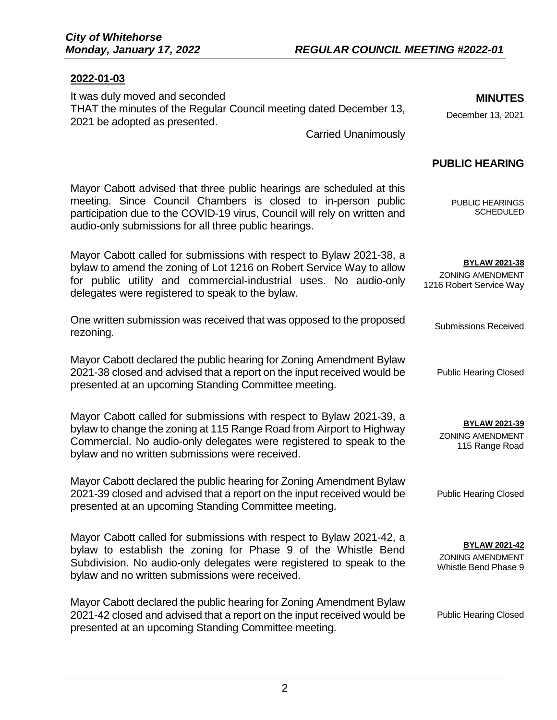## **2022-01-03**

| It was duly moved and seconded<br>THAT the minutes of the Regular Council meeting dated December 13,<br>2021 be adopted as presented.<br><b>Carried Unanimously</b>                                                                                                          | <b>MINUTES</b><br>December 13, 2021                                        |
|------------------------------------------------------------------------------------------------------------------------------------------------------------------------------------------------------------------------------------------------------------------------------|----------------------------------------------------------------------------|
|                                                                                                                                                                                                                                                                              | <b>PUBLIC HEARING</b>                                                      |
| Mayor Cabott advised that three public hearings are scheduled at this<br>meeting. Since Council Chambers is closed to in-person public<br>participation due to the COVID-19 virus, Council will rely on written and<br>audio-only submissions for all three public hearings. | <b>PUBLIC HEARINGS</b><br><b>SCHEDULED</b>                                 |
| Mayor Cabott called for submissions with respect to Bylaw 2021-38, a<br>bylaw to amend the zoning of Lot 1216 on Robert Service Way to allow<br>for public utility and commercial-industrial uses. No audio-only<br>delegates were registered to speak to the bylaw.         | <b>BYLAW 2021-38</b><br><b>ZONING AMENDMENT</b><br>1216 Robert Service Way |
| One written submission was received that was opposed to the proposed<br>rezoning.                                                                                                                                                                                            | <b>Submissions Received</b>                                                |
| Mayor Cabott declared the public hearing for Zoning Amendment Bylaw<br>2021-38 closed and advised that a report on the input received would be<br>presented at an upcoming Standing Committee meeting.                                                                       | <b>Public Hearing Closed</b>                                               |
| Mayor Cabott called for submissions with respect to Bylaw 2021-39, a<br>bylaw to change the zoning at 115 Range Road from Airport to Highway<br>Commercial. No audio-only delegates were registered to speak to the<br>bylaw and no written submissions were received.       | <b>BYLAW 2021-39</b><br><b>ZONING AMENDMENT</b><br>115 Range Road          |
| Mayor Cabott declared the public hearing for Zoning Amendment Bylaw<br>2021-39 closed and advised that a report on the input received would be<br>presented at an upcoming Standing Committee meeting.                                                                       | <b>Public Hearing Closed</b>                                               |
| Mayor Cabott called for submissions with respect to Bylaw 2021-42, a<br>bylaw to establish the zoning for Phase 9 of the Whistle Bend<br>Subdivision. No audio-only delegates were registered to speak to the<br>bylaw and no written submissions were received.             | <b>BYLAW 2021-42</b><br><b>ZONING AMENDMENT</b><br>Whistle Bend Phase 9    |
| Mayor Cabott declared the public hearing for Zoning Amendment Bylaw<br>2021-42 closed and advised that a report on the input received would be                                                                                                                               | <b>Public Hearing Closed</b>                                               |

presented at an upcoming Standing Committee meeting.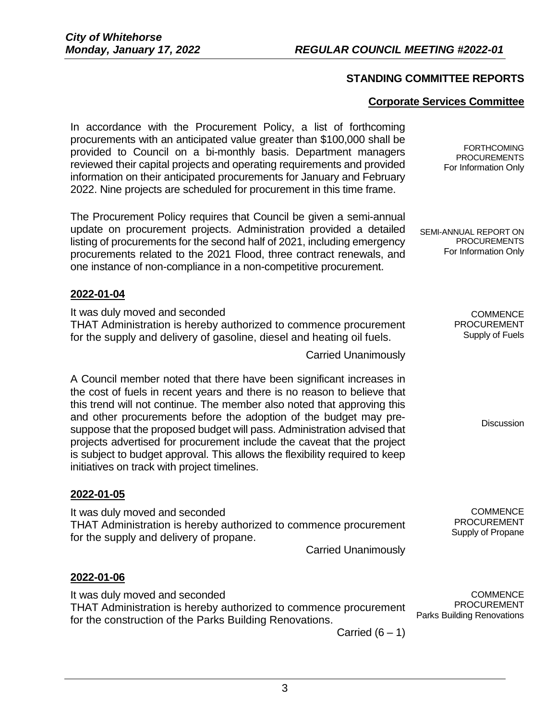# **STANDING COMMITTEE REPORTS**

# **Corporate Services Committee**

| In accordance with the Procurement Policy, a list of forthcoming<br>procurements with an anticipated value greater than \$100,000 shall be<br>provided to Council on a bi-monthly basis. Department managers<br>reviewed their capital projects and operating requirements and provided<br>information on their anticipated procurements for January and February<br>2022. Nine projects are scheduled for procurement in this time frame.                                                                                                                                            | <b>FORTHCOMING</b><br><b>PROCUREMENTS</b><br>For Information Only          |
|---------------------------------------------------------------------------------------------------------------------------------------------------------------------------------------------------------------------------------------------------------------------------------------------------------------------------------------------------------------------------------------------------------------------------------------------------------------------------------------------------------------------------------------------------------------------------------------|----------------------------------------------------------------------------|
| The Procurement Policy requires that Council be given a semi-annual<br>update on procurement projects. Administration provided a detailed<br>listing of procurements for the second half of 2021, including emergency<br>procurements related to the 2021 Flood, three contract renewals, and<br>one instance of non-compliance in a non-competitive procurement.                                                                                                                                                                                                                     | SEMI-ANNUAL REPORT ON<br><b>PROCUREMENTS</b><br>For Information Only       |
| 2022-01-04                                                                                                                                                                                                                                                                                                                                                                                                                                                                                                                                                                            |                                                                            |
| It was duly moved and seconded<br>THAT Administration is hereby authorized to commence procurement<br>for the supply and delivery of gasoline, diesel and heating oil fuels.                                                                                                                                                                                                                                                                                                                                                                                                          | <b>COMMENCE</b><br><b>PROCUREMENT</b><br>Supply of Fuels                   |
| <b>Carried Unanimously</b>                                                                                                                                                                                                                                                                                                                                                                                                                                                                                                                                                            |                                                                            |
| A Council member noted that there have been significant increases in<br>the cost of fuels in recent years and there is no reason to believe that<br>this trend will not continue. The member also noted that approving this<br>and other procurements before the adoption of the budget may pre-<br>suppose that the proposed budget will pass. Administration advised that<br>projects advertised for procurement include the caveat that the project<br>is subject to budget approval. This allows the flexibility required to keep<br>initiatives on track with project timelines. | <b>Discussion</b>                                                          |
| 2022-01-05                                                                                                                                                                                                                                                                                                                                                                                                                                                                                                                                                                            |                                                                            |
| It was duly moved and seconded<br>THAT Administration is hereby authorized to commence procurement<br>for the supply and delivery of propane.<br><b>Carried Unanimously</b>                                                                                                                                                                                                                                                                                                                                                                                                           | <b>COMMENCE</b><br><b>PROCUREMENT</b><br>Supply of Propane                 |
| 2022-01-06                                                                                                                                                                                                                                                                                                                                                                                                                                                                                                                                                                            |                                                                            |
| It was duly moved and seconded<br>THAT Administration is hereby authorized to commence procurement<br>for the construction of the Parks Building Renovations.<br>Carried $(6 - 1)$                                                                                                                                                                                                                                                                                                                                                                                                    | <b>COMMENCE</b><br><b>PROCUREMENT</b><br><b>Parks Building Renovations</b> |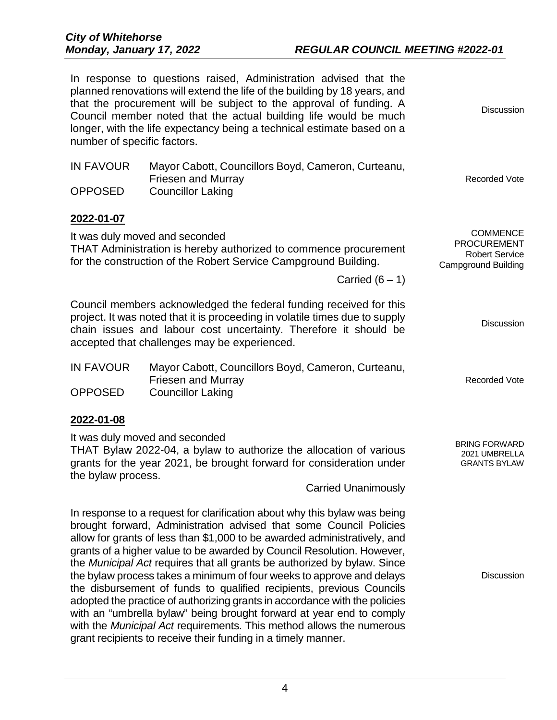| number of specific factors.        | In response to questions raised, Administration advised that the<br>planned renovations will extend the life of the building by 18 years, and<br>that the procurement will be subject to the approval of funding. A<br>Council member noted that the actual building life would be much<br>longer, with the life expectancy being a technical estimate based on a                                                                                                                                                                                                                                                                                                                                                                                                                                                                  | Discussion                                                                                   |
|------------------------------------|------------------------------------------------------------------------------------------------------------------------------------------------------------------------------------------------------------------------------------------------------------------------------------------------------------------------------------------------------------------------------------------------------------------------------------------------------------------------------------------------------------------------------------------------------------------------------------------------------------------------------------------------------------------------------------------------------------------------------------------------------------------------------------------------------------------------------------|----------------------------------------------------------------------------------------------|
| <b>IN FAVOUR</b><br><b>OPPOSED</b> | Mayor Cabott, Councillors Boyd, Cameron, Curteanu,<br><b>Friesen and Murray</b><br><b>Councillor Laking</b>                                                                                                                                                                                                                                                                                                                                                                                                                                                                                                                                                                                                                                                                                                                        | <b>Recorded Vote</b>                                                                         |
| 2022-01-07                         |                                                                                                                                                                                                                                                                                                                                                                                                                                                                                                                                                                                                                                                                                                                                                                                                                                    |                                                                                              |
|                                    | It was duly moved and seconded<br>THAT Administration is hereby authorized to commence procurement<br>for the construction of the Robert Service Campground Building.<br>Carried $(6 - 1)$                                                                                                                                                                                                                                                                                                                                                                                                                                                                                                                                                                                                                                         | <b>COMMENCE</b><br><b>PROCUREMENT</b><br><b>Robert Service</b><br><b>Campground Building</b> |
|                                    | Council members acknowledged the federal funding received for this<br>project. It was noted that it is proceeding in volatile times due to supply<br>chain issues and labour cost uncertainty. Therefore it should be<br>accepted that challenges may be experienced.                                                                                                                                                                                                                                                                                                                                                                                                                                                                                                                                                              | Discussion                                                                                   |
| <b>IN FAVOUR</b><br><b>OPPOSED</b> | Mayor Cabott, Councillors Boyd, Cameron, Curteanu,<br><b>Friesen and Murray</b><br><b>Councillor Laking</b>                                                                                                                                                                                                                                                                                                                                                                                                                                                                                                                                                                                                                                                                                                                        | <b>Recorded Vote</b>                                                                         |
| 2022-01-08                         |                                                                                                                                                                                                                                                                                                                                                                                                                                                                                                                                                                                                                                                                                                                                                                                                                                    |                                                                                              |
| the bylaw process.                 | It was duly moved and seconded<br>THAT Bylaw 2022-04, a bylaw to authorize the allocation of various<br>grants for the year 2021, be brought forward for consideration under                                                                                                                                                                                                                                                                                                                                                                                                                                                                                                                                                                                                                                                       | <b>BRING FORWARD</b><br>2021 UMBRELLA<br><b>GRANTS BYLAW</b>                                 |
|                                    | <b>Carried Unanimously</b>                                                                                                                                                                                                                                                                                                                                                                                                                                                                                                                                                                                                                                                                                                                                                                                                         |                                                                                              |
|                                    | In response to a request for clarification about why this bylaw was being<br>brought forward, Administration advised that some Council Policies<br>allow for grants of less than \$1,000 to be awarded administratively, and<br>grants of a higher value to be awarded by Council Resolution. However,<br>the Municipal Act requires that all grants be authorized by bylaw. Since<br>the bylaw process takes a minimum of four weeks to approve and delays<br>the disbursement of funds to qualified recipients, previous Councils<br>adopted the practice of authorizing grants in accordance with the policies<br>with an "umbrella bylaw" being brought forward at year end to comply<br>with the Municipal Act requirements. This method allows the numerous<br>grant recipients to receive their funding in a timely manner. | Discussion                                                                                   |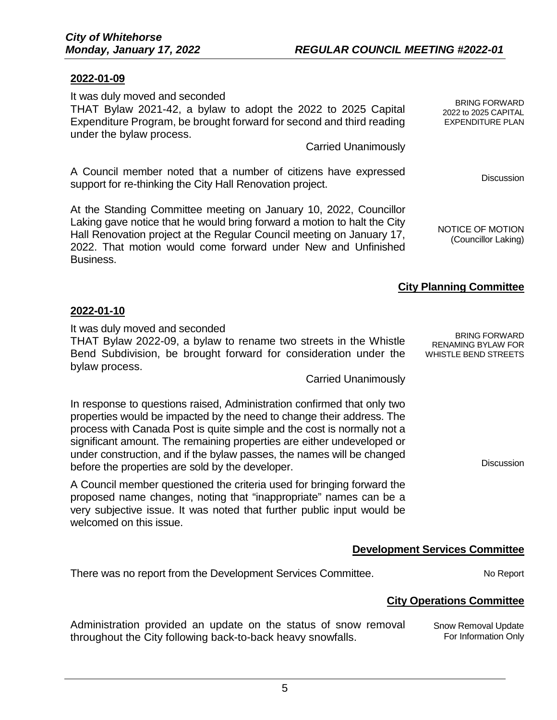## **2022-01-09**

It was duly moved and seconded

| It was duly liloved and seconded<br>THAT Bylaw 2021-42, a bylaw to adopt the 2022 to 2025 Capital<br>Expenditure Program, be brought forward for second and third reading<br>under the bylaw process.                                                                                                | <b>BRING FORWARD</b><br>2022 to 2025 CAPITAL<br><b>EXPENDITURE PLAN</b> |
|------------------------------------------------------------------------------------------------------------------------------------------------------------------------------------------------------------------------------------------------------------------------------------------------------|-------------------------------------------------------------------------|
| <b>Carried Unanimously</b>                                                                                                                                                                                                                                                                           |                                                                         |
| A Council member noted that a number of citizens have expressed<br>support for re-thinking the City Hall Renovation project.                                                                                                                                                                         | <b>Discussion</b>                                                       |
| At the Standing Committee meeting on January 10, 2022, Councillor<br>Laking gave notice that he would bring forward a motion to halt the City<br>Hall Renovation project at the Regular Council meeting on January 17,<br>2022. That motion would come forward under New and Unfinished<br>Business. | NOTICE OF MOTION<br>(Councillor Laking)                                 |
|                                                                                                                                                                                                                                                                                                      | <b>City Planning Committee</b>                                          |
| 2022-01-10                                                                                                                                                                                                                                                                                           |                                                                         |
| It was duly moved and seconded                                                                                                                                                                                                                                                                       | <b>BRING FORWARD</b>                                                    |

THAT Bylaw 2022-09, a bylaw to rename two streets in the Whistle Bend Subdivision, be brought forward for consideration under the bylaw process. WHISTLE BEND STREETS

Carried Unanimously

In response to questions raised, Administration confirmed that only two properties would be impacted by the need to change their address. The process with Canada Post is quite simple and the cost is normally not a significant amount. The remaining properties are either undeveloped or under construction, and if the bylaw passes, the names will be changed before the properties are sold by the developer.

A Council member questioned the criteria used for bringing forward the proposed name changes, noting that "inappropriate" names can be a very subjective issue. It was noted that further public input would be welcomed on this issue.

# **Development Services Committee**

There was no report from the Development Services Committee. No Report

**Discussion** 

RENAMING BYLAW FOR

#### **City Operations Committee**

Administration provided an update on the status of snow removal throughout the City following back-to-back heavy snowfalls. Snow Removal Update For Information Only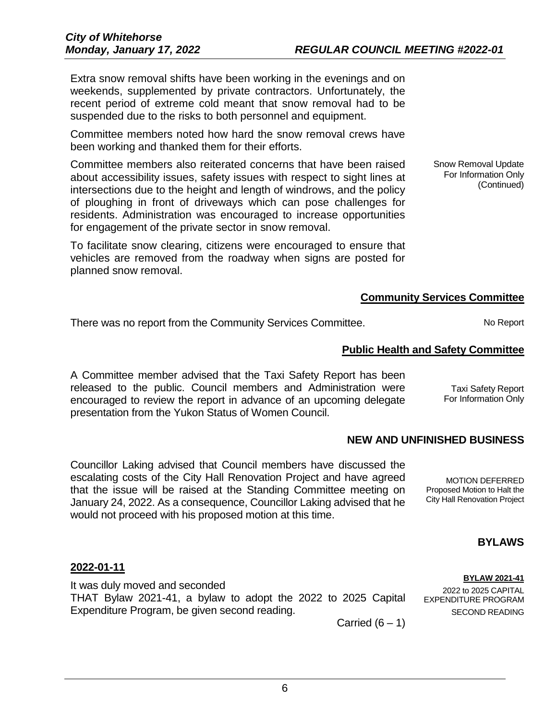Extra snow removal shifts have been working in the evenings and on weekends, supplemented by private contractors. Unfortunately, the recent period of extreme cold meant that snow removal had to be suspended due to the risks to both personnel and equipment.

Committee members noted how hard the snow removal crews have been working and thanked them for their efforts.

Committee members also reiterated concerns that have been raised about accessibility issues, safety issues with respect to sight lines at intersections due to the height and length of windrows, and the policy of ploughing in front of driveways which can pose challenges for residents. Administration was encouraged to increase opportunities for engagement of the private sector in snow removal.

To facilitate snow clearing, citizens were encouraged to ensure that vehicles are removed from the roadway when signs are posted for planned snow removal.

Snow Removal Update For Information Only (Continued)

# **Community Services Committee**

There was no report from the Community Services Committee. No Report

**Public Health and Safety Committee**

A Committee member advised that the Taxi Safety Report has been released to the public. Council members and Administration were encouraged to review the report in advance of an upcoming delegate presentation from the Yukon Status of Women Council.

Councillor Laking advised that Council members have discussed the escalating costs of the City Hall Renovation Project and have agreed that the issue will be raised at the Standing Committee meeting on January 24, 2022. As a consequence, Councillor Laking advised that he would not proceed with his proposed motion at this time.

Taxi Safety Report For Information Only

## **NEW AND UNFINISHED BUSINESS**

MOTION DEFERRED Proposed Motion to Halt the City Hall Renovation Project

## **BYLAWS**

**BYLAW 2021-41** 2022 to 2025 CAPITAL EXPENDITURE PROGRAM

SECOND READING

## **2022-01-11**

It was duly moved and seconded THAT Bylaw 2021-41, a bylaw to adopt the 2022 to 2025 Capital Expenditure Program, be given second reading.

Carried  $(6 - 1)$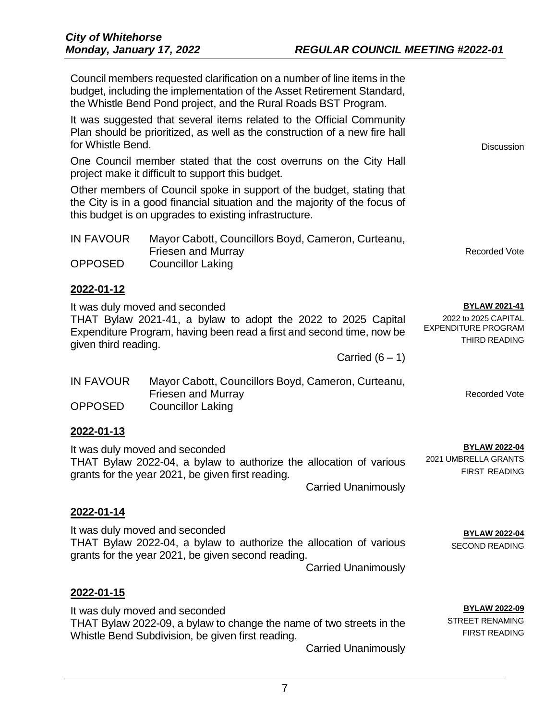Council members requested clarification on a number of line items in the budget, including the implementation of the Asset Retirement Standard, the Whistle Bend Pond project, and the Rural Roads BST Program.

It was suggested that several items related to the Official Community Plan should be prioritized, as well as the construction of a new fire hall for Whistle Bend.

One Council member stated that the cost overruns on the City Hall project make it difficult to support this budget.

Other members of Council spoke in support of the budget, stating that the City is in a good financial situation and the majority of the focus of this budget is on upgrades to existing infrastructure.

| <b>IN FAVOUR</b> | Mayor Cabott, Councillors Boyd, Cameron, Curteanu, |
|------------------|----------------------------------------------------|
|                  | <b>Friesen and Murray</b>                          |
| <b>OPPOSED</b>   | <b>Councillor Laking</b>                           |

## **2022-01-12**

It was duly moved and seconded THAT Bylaw 2021-41, a bylaw to adopt the 2022 to 2025 Capital Expenditure Program, having been read a first and second time, now be given third reading. Carried  $(6 - 1)$ **BYLAW 2021-41** 2022 to 2025 CAPITAL EXPENDITURE PROGRAM THIRD READING

| <b>IN FAVOUR</b> | Mayor Cabott, Councillors Boyd, Cameron, Curteanu, |
|------------------|----------------------------------------------------|
|                  | <b>Friesen and Murray</b>                          |
| <b>OPPOSED</b>   | <b>Councillor Laking</b>                           |

#### **2022-01-13**

It was duly moved and seconded THAT Bylaw 2022-04, a bylaw to authorize the allocation of various grants for the year 2021, be given first reading.

Carried Unanimously

#### **2022-01-14**

It was duly moved and seconded THAT Bylaw 2022-04, a bylaw to authorize the allocation of various grants for the year 2021, be given second reading.

Carried Unanimously

#### **2022-01-15**

It was duly moved and seconded THAT Bylaw 2022-09, a bylaw to change the name of two streets in the Whistle Bend Subdivision, be given first reading.

Carried Unanimously

**Discussion** 

Recorded Vote

Recorded Vote

**BYLAW 2022-04** 2021 UMBRELLA GRANTS FIRST READING

> **BYLAW 2022-04** SECOND READING

> > **BYLAW 2022-09**

STREET RENAMING FIRST READING